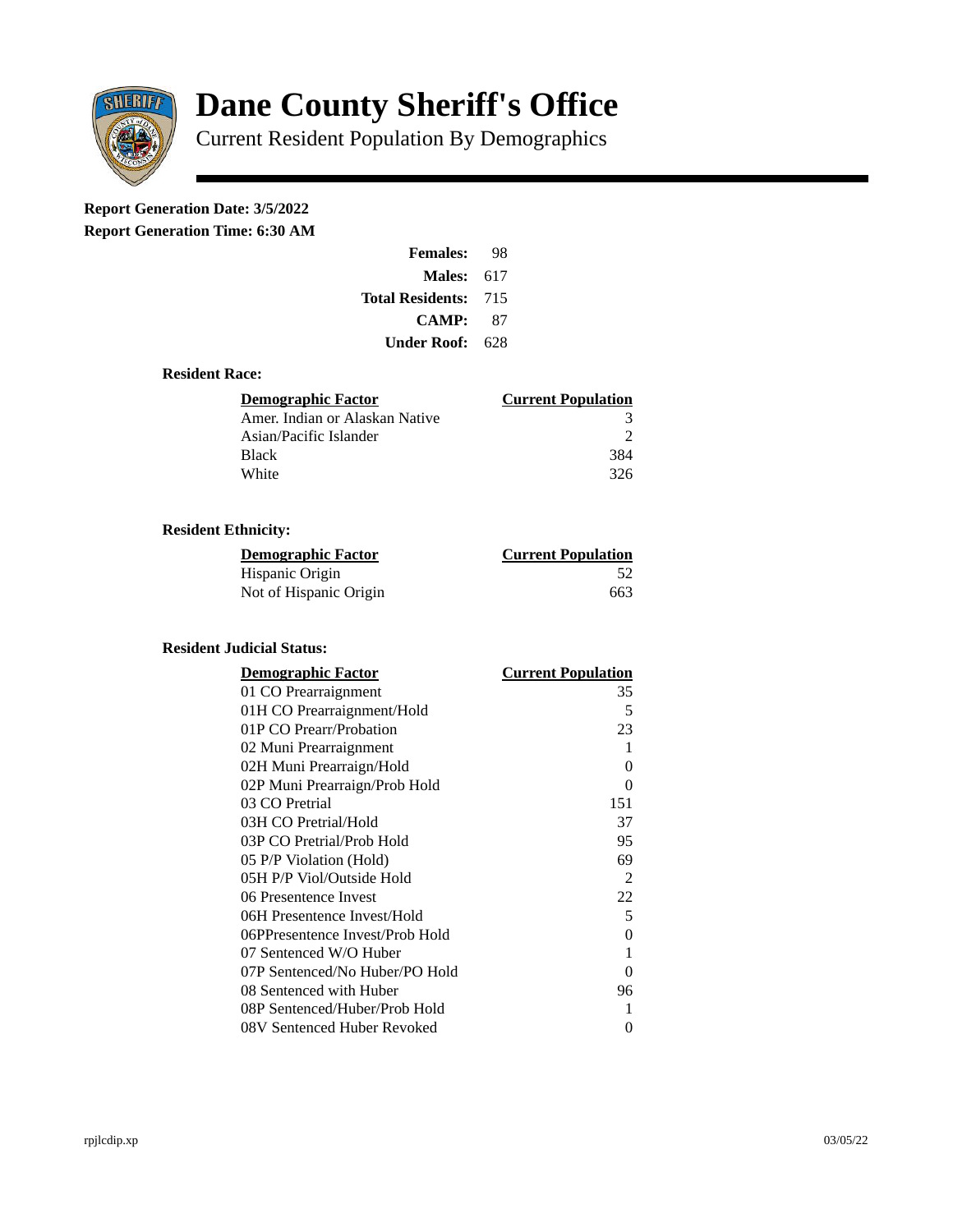

# **Dane County Sheriff's Office**

Current Resident Population By Demographics

# **Report Generation Date: 3/5/2022**

**Report Generation Time: 6:30 AM** 

| <b>Females:</b>         | 98  |
|-------------------------|-----|
| Males:                  | 617 |
| <b>Total Residents:</b> | 715 |
| <b>CAMP:</b>            | 87  |
| Under Roof: \           | 628 |

### **Resident Race:**

| Demographic Factor             | <b>Current Population</b> |
|--------------------------------|---------------------------|
| Amer. Indian or Alaskan Native | З                         |
| Asian/Pacific Islander         |                           |
| <b>Black</b>                   | 384                       |
| White                          | 326                       |

## **Resident Ethnicity:**

| <u> Demographic Factor</u> | <b>Current Population</b> |
|----------------------------|---------------------------|
| Hispanic Origin            | 52                        |
| Not of Hispanic Origin     | 663                       |

### **Resident Judicial Status:**

| <b>Demographic Factor</b>       | <b>Current Population</b> |
|---------------------------------|---------------------------|
| 01 CO Prearraignment            | 35                        |
| 01H CO Prearraignment/Hold      | 5                         |
| 01P CO Prearr/Probation         | 23                        |
| 02 Muni Prearraignment          | 1                         |
| 02H Muni Prearraign/Hold        | 0                         |
| 02P Muni Prearraign/Prob Hold   | 0                         |
| 03 CO Pretrial                  | 151                       |
| 03H CO Pretrial/Hold            | 37                        |
| 03P CO Pretrial/Prob Hold       | 95                        |
| 05 P/P Violation (Hold)         | 69                        |
| 05H P/P Viol/Outside Hold       | 2                         |
| 06 Presentence Invest           | 22                        |
| 06H Presentence Invest/Hold     | 5                         |
| 06PPresentence Invest/Prob Hold | 0                         |
| 07 Sentenced W/O Huber          | 1                         |
| 07P Sentenced/No Huber/PO Hold  | 0                         |
| 08 Sentenced with Huber         | 96                        |
| 08P Sentenced/Huber/Prob Hold   | 1                         |
| 08V Sentenced Huber Revoked     | 0                         |